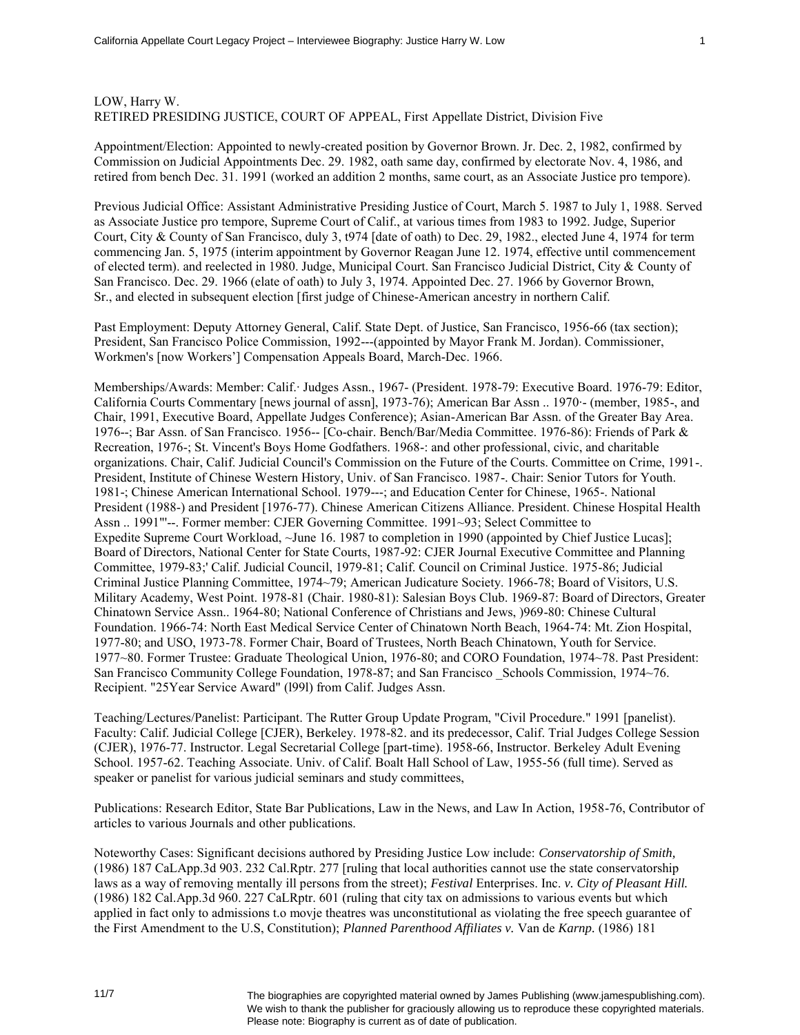## LOW, Harry W. RETIRED PRESIDING JUSTICE, COURT OF APPEAL, First Appellate District, Division Five

Appointment/Election: Appointed to newly-created position by Governor Brown. Jr. Dec. 2, 1982, confirmed by Commission on Judicial Appointments Dec. 29. 1982, oath same day, confirmed by electorate Nov. 4, 1986, and retired from bench Dec. 31. 1991 (worked an addition 2 months, same court, as an Associate Justice pro tempore).

Previous Judicial Office: Assistant Administrative Presiding Justice of Court, March 5. 1987 to July 1, 1988. Served as Associate Justice pro tempore, Supreme Court of Calif., at various times from 1983 to 1992. Judge, Superior Court, City & County of San Francisco, duly 3, t974 [date of oath) to Dec. 29, 1982., elected June 4, 1974 for term commencing Jan. 5, 1975 (interim appointment by Governor Reagan June 12. 1974, effective until commencement of elected term). and reelected in 1980. Judge, Municipal Court. San Francisco Judicial District, City & County of San Francisco. Dec. 29. 1966 (elate of oath) to July 3, 1974. Appointed Dec. 27. 1966 by Governor Brown, Sr., and elected in subsequent election [first judge of Chinese-American ancestry in northern Calif.

Past Employment: Deputy Attorney General, Calif. State Dept. of Justice, San Francisco, 1956-66 (tax section); President, San Francisco Police Commission, 1992---(appointed by Mayor Frank M. Jordan). Commissioner, Workmen's [now Workers'] Compensation Appeals Board, March-Dec. 1966.

Memberships/Awards: Member: Calif.· Judges Assn., 1967- (President. 1978-79: Executive Board. 1976-79: Editor, California Courts Commentary [news journal of assn], 1973-76); American Bar Assn .. 1970·- (member, 1985-, and Chair, 1991, Executive Board, Appellate Judges Conference); Asian-American Bar Assn. of the Greater Bay Area. 1976--; Bar Assn. of San Francisco. 1956-- [Co-chair. Bench/Bar/Media Committee. 1976-86): Friends of Park & Recreation, 1976-; St. Vincent's Boys Home Godfathers. 1968-: and other professional, civic, and charitable organizations. Chair, Calif. Judicial Council's Commission on the Future of the Courts. Committee on Crime, 1991-. President, Institute of Chinese Western History, Univ. of San Francisco. 1987-. Chair: Senior Tutors for Youth. 1981-; Chinese American International School. 1979---; and Education Center for Chinese, 1965-. National President (1988-) and President [1976-77). Chinese American Citizens Alliance. President. Chinese Hospital Health Assn .. 1991"'--. Former member: CJER Governing Committee. 1991~93; Select Committee to Expedite Supreme Court Workload, ~June 16. 1987 to completion in 1990 (appointed by Chief Justice Lucas]; Board of Directors, National Center for State Courts, 1987-92: CJER Journal Executive Committee and Planning Committee, 1979-83;' Calif. Judicial Council, 1979-81; Calif. Council on Criminal Justice. 1975-86; Judicial Criminal Justice Planning Committee, 1974~79; American Judicature Society. 1966-78; Board of Visitors, U.S. Military Academy, West Point. 1978-81 (Chair. 1980-81): Salesian Boys Club. 1969-87: Board of Directors, Greater Chinatown Service Assn.. 1964-80; National Conference of Christians and Jews, )969-80: Chinese Cultural Foundation. 1966-74: North East Medical Service Center of Chinatown North Beach, 1964-74: Mt. Zion Hospital, 1977-80; and USO, 1973-78. Former Chair, Board of Trustees, North Beach Chinatown, Youth for Service. 1977~80. Former Trustee: Graduate Theological Union, 1976-80; and CORO Foundation, 1974~78. Past President: San Francisco Community College Foundation, 1978-87; and San Francisco \_Schools Commission, 1974~76. Recipient. "25Year Service Award" (l99l) from Calif. Judges Assn.

Teaching/Lectures/Panelist: Participant. The Rutter Group Update Program, "Civil Procedure." 1991 [panelist). Faculty: Calif. Judicial College [CJER), Berkeley. 1978-82. and its predecessor, Calif. Trial Judges College Session (CJER), 1976-77. Instructor. Legal Secretarial College [part-time). 1958-66, Instructor. Berkeley Adult Evening School. 1957-62. Teaching Associate. Univ. of Calif. Boalt Hall School of Law, 1955-56 (full time). Served as speaker or panelist for various judicial seminars and study committees,

Publications: Research Editor, State Bar Publications, Law in the News, and Law In Action, 1958-76, Contributor of articles to various Journals and other publications.

Noteworthy Cases: Significant decisions authored by Presiding Justice Low include: *Conservatorship of Smith,*  (1986) 187 CaLApp.3d 903. 232 Cal.Rptr. 277 [ruling that local authorities cannot use the state conservatorship laws as a way of removing mentally ill persons from the street); *Festival* Enterprises. Inc. *v. City of Pleasant Hill.*  (1986) 182 Cal.App.3d 960. 227 CaLRptr. 601 (ruling that city tax on admissions to various events but which applied in fact only to admissions t.o movje theatres was unconstitutional as violating the free speech guarantee of the First Amendment to the U.S, Constitution); *Planned Parenthood Affiliates v.* Van de *Karnp.* (1986) 181